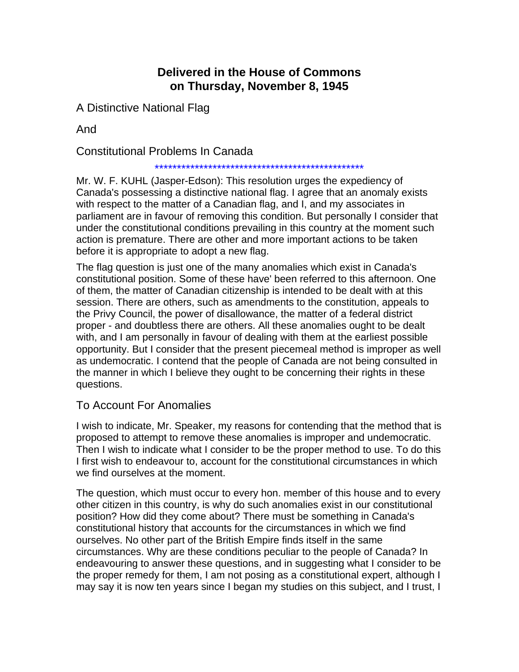### **Delivered in the House of Commons on Thursday, November 8, 1945**

A Distinctive National Flag

And

Constitutional Problems In Canada

#### \*\*\*\*\*\*\*\*\*\*\*\*\*\*\*\*\*\*\*\*\*\*\*\*\*\*\*\*\*\*\*\*\*\*\*\*\*\*\*\*\*\*\*\*\*\*\*

Mr. W. F. KUHL (Jasper-Edson): This resolution urges the expediency of Canada's possessing a distinctive national flag. I agree that an anomaly exists with respect to the matter of a Canadian flag, and I, and my associates in parliament are in favour of removing this condition. But personally I consider that under the constitutional conditions prevailing in this country at the moment such action is premature. There are other and more important actions to be taken before it is appropriate to adopt a new flag.

The flag question is just one of the many anomalies which exist in Canada's constitutional position. Some of these have' been referred to this afternoon. One of them, the matter of Canadian citizenship is intended to be dealt with at this session. There are others, such as amendments to the constitution, appeals to the Privy Council, the power of disallowance, the matter of a federal district proper - and doubtless there are others. All these anomalies ought to be dealt with, and I am personally in favour of dealing with them at the earliest possible opportunity. But I consider that the present piecemeal method is improper as well as undemocratic. I contend that the people of Canada are not being consulted in the manner in which I believe they ought to be concerning their rights in these questions.

### To Account For Anomalies

I wish to indicate, Mr. Speaker, my reasons for contending that the method that is proposed to attempt to remove these anomalies is improper and undemocratic. Then I wish to indicate what I consider to be the proper method to use. To do this I first wish to endeavour to, account for the constitutional circumstances in which we find ourselves at the moment.

The question, which must occur to every hon. member of this house and to every other citizen in this country, is why do such anomalies exist in our constitutional position? How did they come about? There must be something in Canada's constitutional history that accounts for the circumstances in which we find ourselves. No other part of the British Empire finds itself in the same circumstances. Why are these conditions peculiar to the people of Canada? In endeavouring to answer these questions, and in suggesting what I consider to be the proper remedy for them, I am not posing as a constitutional expert, although I may say it is now ten years since I began my studies on this subject, and I trust, I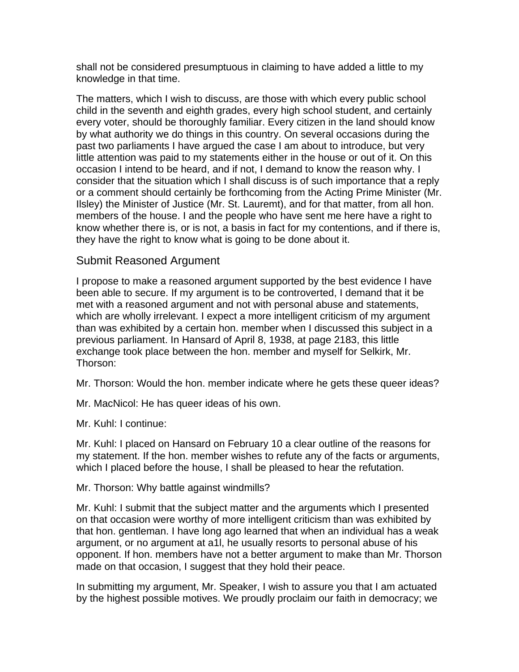shall not be considered presumptuous in claiming to have added a little to my knowledge in that time.

The matters, which I wish to discuss, are those with which every public school child in the seventh and eighth grades, every high school student, and certainly every voter, should be thoroughly familiar. Every citizen in the land should know by what authority we do things in this country. On several occasions during the past two parliaments I have argued the case I am about to introduce, but very little attention was paid to my statements either in the house or out of it. On this occasion I intend to be heard, and if not, I demand to know the reason why. I consider that the situation which I shall discuss is of such importance that a reply or a comment should certainly be forthcoming from the Acting Prime Minister (Mr. Ilsley) the Minister of Justice (Mr. St. Lauremt), and for that matter, from all hon. members of the house. I and the people who have sent me here have a right to know whether there is, or is not, a basis in fact for my contentions, and if there is, they have the right to know what is going to be done about it.

### Submit Reasoned Argument

I propose to make a reasoned argument supported by the best evidence I have been able to secure. If my argument is to be controverted, I demand that it be met with a reasoned argument and not with personal abuse and statements, which are wholly irrelevant. I expect a more intelligent criticism of my argument than was exhibited by a certain hon. member when I discussed this subject in a previous parliament. In Hansard of April 8, 1938, at page 2183, this little exchange took place between the hon. member and myself for Selkirk, Mr. Thorson:

Mr. Thorson: Would the hon. member indicate where he gets these queer ideas?

Mr. MacNicol: He has queer ideas of his own.

Mr. Kuhl: I continue:

Mr. Kuhl: I placed on Hansard on February 10 a clear outline of the reasons for my statement. If the hon. member wishes to refute any of the facts or arguments, which I placed before the house, I shall be pleased to hear the refutation.

### Mr. Thorson: Why battle against windmills?

Mr. Kuhl: I submit that the subject matter and the arguments which I presented on that occasion were worthy of more intelligent criticism than was exhibited by that hon. gentleman. I have long ago learned that when an individual has a weak argument, or no argument at a1l, he usually resorts to personal abuse of his opponent. If hon. members have not a better argument to make than Mr. Thorson made on that occasion, I suggest that they hold their peace.

In submitting my argument, Mr. Speaker, I wish to assure you that I am actuated by the highest possible motives. We proudly proclaim our faith in democracy; we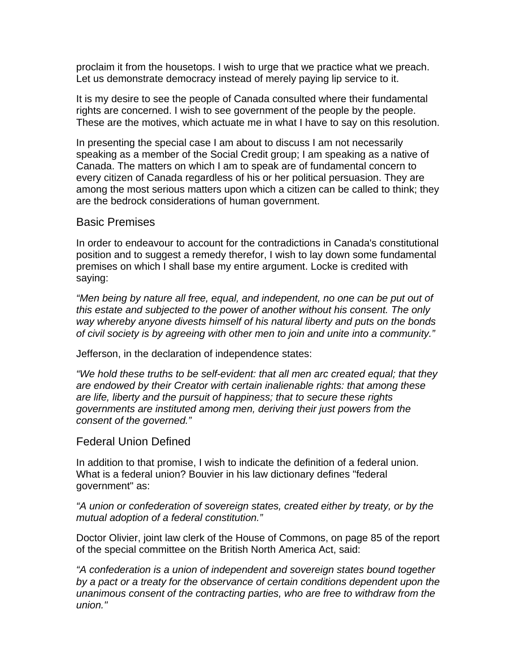proclaim it from the housetops. I wish to urge that we practice what we preach. Let us demonstrate democracy instead of merely paying lip service to it.

It is my desire to see the people of Canada consulted where their fundamental rights are concerned. I wish to see government of the people by the people. These are the motives, which actuate me in what I have to say on this resolution.

In presenting the special case I am about to discuss I am not necessarily speaking as a member of the Social Credit group; I am speaking as a native of Canada. The matters on which I am to speak are of fundamental concern to every citizen of Canada regardless of his or her political persuasion. They are among the most serious matters upon which a citizen can be called to think; they are the bedrock considerations of human government.

### Basic Premises

In order to endeavour to account for the contradictions in Canada's constitutional position and to suggest a remedy therefor, I wish to lay down some fundamental premises on which I shall base my entire argument. Locke is credited with saying:

*"Men being by nature all free, equal, and independent, no one can be put out of this estate and subjected to the power of another without his consent. The only way whereby anyone divests himself of his natural liberty and puts on the bonds of civil society is by agreeing with other men to join and unite into a community."*

Jefferson, in the declaration of independence states:

*"We hold these truths to be self-evident: that all men arc created equal; that they are endowed by their Creator with certain inalienable rights: that among these are life, liberty and the pursuit of happiness; that to secure these rights governments are instituted among men, deriving their just powers from the consent of the governed."*

### Federal Union Defined

In addition to that promise, I wish to indicate the definition of a federal union. What is a federal union? Bouvier in his law dictionary defines "federal government" as:

### *"A union or confederation of sovereign states, created either by treaty, or by the mutual adoption of a federal constitution."*

Doctor Olivier, joint law clerk of the House of Commons, on page 85 of the report of the special committee on the British North America Act, said:

*"A confederation is a union of independent and sovereign states bound together by a pact or a treaty for the observance of certain conditions dependent upon the unanimous consent of the contracting parties, who are free to withdraw from the union."*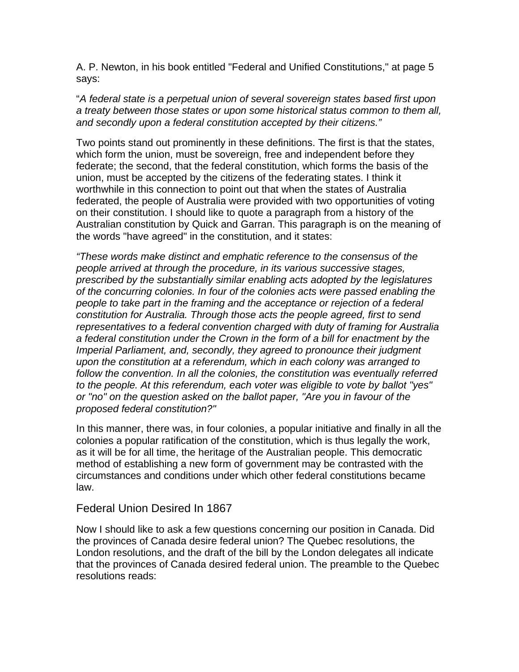A. P. Newton, in his book entitled "Federal and Unified Constitutions," at page 5 says:

"*A federal state is a perpetual union of several sovereign states based first upon a treaty between those states or upon some historical status common to them all, and secondly upon a federal constitution accepted by their citizens."*

Two points stand out prominently in these definitions. The first is that the states, which form the union, must be sovereign, free and independent before they federate; the second, that the federal constitution, which forms the basis of the union, must be accepted by the citizens of the federating states. I think it worthwhile in this connection to point out that when the states of Australia federated, the people of Australia were provided with two opportunities of voting on their constitution. I should like to quote a paragraph from a history of the Australian constitution by Quick and Garran. This paragraph is on the meaning of the words "have agreed" in the constitution, and it states:

*"These words make distinct and emphatic reference to the consensus of the people arrived at through the procedure, in its various successive stages, prescribed by the substantially similar enabling acts adopted by the legislatures of the concurring colonies. In four of the colonies acts were passed enabling the people to take part in the framing and the acceptance or rejection of a federal constitution for Australia. Through those acts the people agreed, first to send representatives to a federal convention charged with duty of framing for Australia a federal constitution under the Crown in the form of a bill for enactment by the Imperial Parliament, and, secondly, they agreed to pronounce their judgment upon the constitution at a referendum, which in each colony was arranged to follow the convention. In all the colonies, the constitution was eventually referred to the people. At this referendum, each voter was eligible to vote by ballot "yes" or "no" on the question asked on the ballot paper, "Are you in favour of the proposed federal constitution?"*

In this manner, there was, in four colonies, a popular initiative and finally in all the colonies a popular ratification of the constitution, which is thus legally the work, as it will be for all time, the heritage of the Australian people. This democratic method of establishing a new form of government may be contrasted with the circumstances and conditions under which other federal constitutions became law.

### Federal Union Desired In 1867

Now I should like to ask a few questions concerning our position in Canada. Did the provinces of Canada desire federal union? The Quebec resolutions, the London resolutions, and the draft of the bill by the London delegates all indicate that the provinces of Canada desired federal union. The preamble to the Quebec resolutions reads: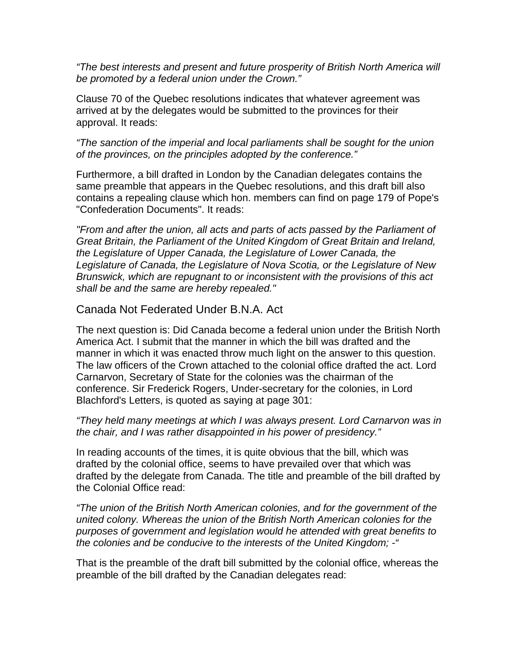*"The best interests and present and future prosperity of British North America will be promoted by a federal union under the Crown."*

Clause 70 of the Quebec resolutions indicates that whatever agreement was arrived at by the delegates would be submitted to the provinces for their approval. It reads:

*"The sanction of the imperial and local parliaments shall be sought for the union of the provinces, on the principles adopted by the conference."*

Furthermore, a bill drafted in London by the Canadian delegates contains the same preamble that appears in the Quebec resolutions, and this draft bill also contains a repealing clause which hon. members can find on page 179 of Pope's "Confederation Documents". It reads:

*"From and after the union, all acts and parts of acts passed by the Parliament of Great Britain, the Parliament of the United Kingdom of Great Britain and Ireland, the Legislature of Upper Canada, the Legislature of Lower Canada, the Legislature of Canada, the Legislature of Nova Scotia, or the Legislature of New Brunswick, which are repugnant to or inconsistent with the provisions of this act shall be and the same are hereby repealed."*

### Canada Not Federated Under B.N.A. Act

The next question is: Did Canada become a federal union under the British North America Act. I submit that the manner in which the bill was drafted and the manner in which it was enacted throw much light on the answer to this question. The law officers of the Crown attached to the colonial office drafted the act. Lord Carnarvon, Secretary of State for the colonies was the chairman of the conference. Sir Frederick Rogers, Under-secretary for the colonies, in Lord Blachford's Letters, is quoted as saying at page 301:

*"They held many meetings at which I was always present. Lord Carnarvon was in the chair, and I was rather disappointed in his power of presidency."*

In reading accounts of the times, it is quite obvious that the bill, which was drafted by the colonial office, seems to have prevailed over that which was drafted by the delegate from Canada. The title and preamble of the bill drafted by the Colonial Office read:

*"The union of the British North American colonies, and for the government of the united colony. Whereas the union of the British North American colonies for the purposes of government and legislation would he attended with great benefits to the colonies and be conducive to the interests of the United Kingdom; -"*

That is the preamble of the draft bill submitted by the colonial office, whereas the preamble of the bill drafted by the Canadian delegates read: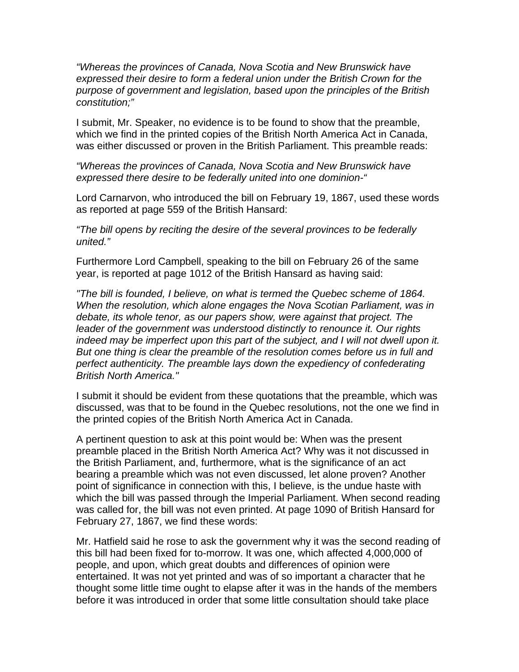*"Whereas the provinces of Canada, Nova Scotia and New Brunswick have expressed their desire to form a federal union under the British Crown for the purpose of government and legislation, based upon the principles of the British constitution;"*

I submit, Mr. Speaker, no evidence is to be found to show that the preamble, which we find in the printed copies of the British North America Act in Canada, was either discussed or proven in the British Parliament. This preamble reads:

*"Whereas the provinces of Canada, Nova Scotia and New Brunswick have expressed there desire to be federally united into one dominion-"*

Lord Carnarvon, who introduced the bill on February 19, 1867, used these words as reported at page 559 of the British Hansard:

*"The bill opens by reciting the desire of the several provinces to be federally united."*

Furthermore Lord Campbell, speaking to the bill on February 26 of the same year, is reported at page 1012 of the British Hansard as having said:

*"The bill is founded, I believe, on what is termed the Quebec scheme of 1864. When the resolution, which alone engages the Nova Scotian Parliament, was in debate, its whole tenor, as our papers show, were against that project. The leader of the government was understood distinctly to renounce it. Our rights indeed may be imperfect upon this part of the subject, and I will not dwell upon it. But one thing is clear the preamble of the resolution comes before us in full and perfect authenticity. The preamble lays down the expediency of confederating British North America."*

I submit it should be evident from these quotations that the preamble, which was discussed, was that to be found in the Quebec resolutions, not the one we find in the printed copies of the British North America Act in Canada.

A pertinent question to ask at this point would be: When was the present preamble placed in the British North America Act? Why was it not discussed in the British Parliament, and, furthermore, what is the significance of an act bearing a preamble which was not even discussed, let alone proven? Another point of significance in connection with this, I believe, is the undue haste with which the bill was passed through the Imperial Parliament. When second reading was called for, the bill was not even printed. At page 1090 of British Hansard for February 27, 1867, we find these words:

Mr. Hatfield said he rose to ask the government why it was the second reading of this bill had been fixed for to-morrow. It was one, which affected 4,000,000 of people, and upon, which great doubts and differences of opinion were entertained. It was not yet printed and was of so important a character that he thought some little time ought to elapse after it was in the hands of the members before it was introduced in order that some little consultation should take place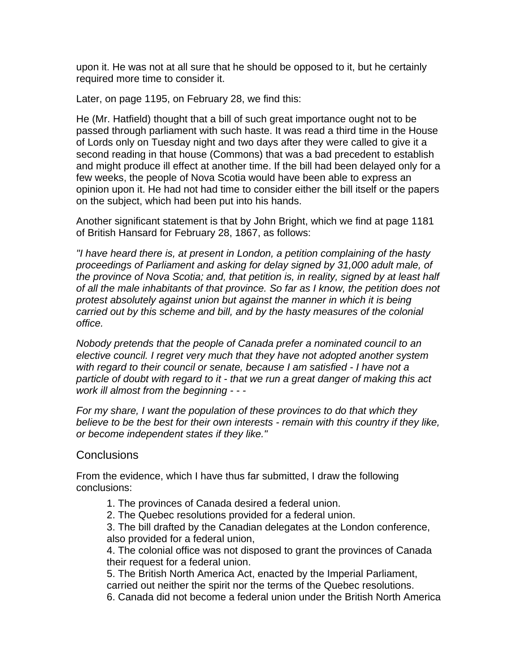upon it. He was not at all sure that he should be opposed to it, but he certainly required more time to consider it.

Later, on page 1195, on February 28, we find this:

He (Mr. Hatfield) thought that a bill of such great importance ought not to be passed through parliament with such haste. It was read a third time in the House of Lords only on Tuesday night and two days after they were called to give it a second reading in that house (Commons) that was a bad precedent to establish and might produce ill effect at another time. If the bill had been delayed only for a few weeks, the people of Nova Scotia would have been able to express an opinion upon it. He had not had time to consider either the bill itself or the papers on the subject, which had been put into his hands.

Another significant statement is that by John Bright, which we find at page 1181 of British Hansard for February 28, 1867, as follows:

*"I have heard there is, at present in London, a petition complaining of the hasty proceedings of Parliament and asking for delay signed by 31,000 adult male, of the province of Nova Scotia; and, that petition is, in reality, signed by at least half of all the male inhabitants of that province. So far as I know, the petition does not protest absolutely against union but against the manner in which it is being carried out by this scheme and bill, and by the hasty measures of the colonial office.*

*Nobody pretends that the people of Canada prefer a nominated council to an elective council. I regret very much that they have not adopted another system with regard to their council or senate, because I am satisfied - I have not a particle of doubt with regard to it - that we run a great danger of making this act work ill almost from the beginning - - -*

*For my share, I want the population of these provinces to do that which they believe to be the best for their own interests - remain with this country if they like, or become independent states if they like."*

### **Conclusions**

From the evidence, which I have thus far submitted, I draw the following conclusions:

- 1. The provinces of Canada desired a federal union.
- 2. The Quebec resolutions provided for a federal union.

3. The bill drafted by the Canadian delegates at the London conference, also provided for a federal union,

4. The colonial office was not disposed to grant the provinces of Canada their request for a federal union.

5. The British North America Act, enacted by the Imperial Parliament, carried out neither the spirit nor the terms of the Quebec resolutions. 6. Canada did not become a federal union under the British North America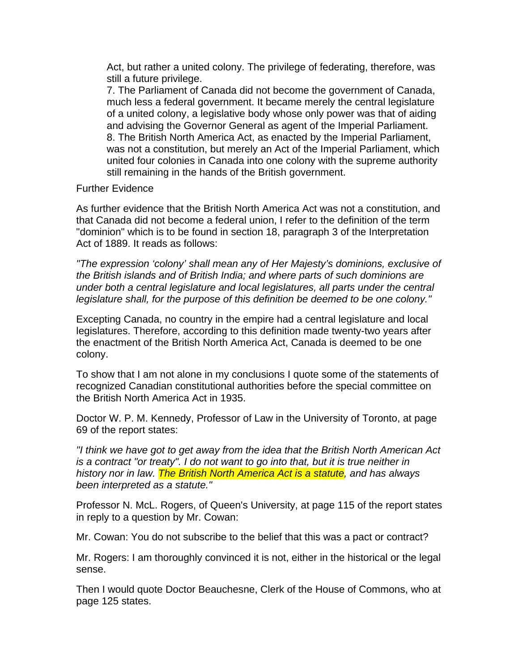Act, but rather a united colony. The privilege of federating, therefore, was still a future privilege.

7. The Parliament of Canada did not become the government of Canada, much less a federal government. It became merely the central legislature of a united colony, a legislative body whose only power was that of aiding and advising the Governor General as agent of the Imperial Parliament. 8. The British North America Act, as enacted by the Imperial Parliament, was not a constitution, but merely an Act of the Imperial Parliament, which united four colonies in Canada into one colony with the supreme authority still remaining in the hands of the British government.

### Further Evidence

As further evidence that the British North America Act was not a constitution, and that Canada did not become a federal union, I refer to the definition of the term "dominion" which is to be found in section 18, paragraph 3 of the Interpretation Act of 1889. It reads as follows:

*"The expression 'colony' shall mean any of Her Majesty's dominions, exclusive of the British islands and of British India; and where parts of such dominions are under both a central legislature and local legislatures, all parts under the central legislature shall, for the purpose of this definition be deemed to be one colony."*

Excepting Canada, no country in the empire had a central legislature and local legislatures. Therefore, according to this definition made twenty-two years after the enactment of the British North America Act, Canada is deemed to be one colony.

To show that I am not alone in my conclusions I quote some of the statements of recognized Canadian constitutional authorities before the special committee on the British North America Act in 1935.

Doctor W. P. M. Kennedy, Professor of Law in the University of Toronto, at page 69 of the report states:

*"I think we have got to get away from the idea that the British North American Act is a contract "or treaty". I do not want to go into that, but it is true neither in history nor in law. The British North America Act is a statute, and has always been interpreted as a statute."*

Professor N. McL. Rogers, of Queen's University, at page 115 of the report states in reply to a question by Mr. Cowan:

Mr. Cowan: You do not subscribe to the belief that this was a pact or contract?

Mr. Rogers: I am thoroughly convinced it is not, either in the historical or the legal sense.

Then I would quote Doctor Beauchesne, Clerk of the House of Commons, who at page 125 states.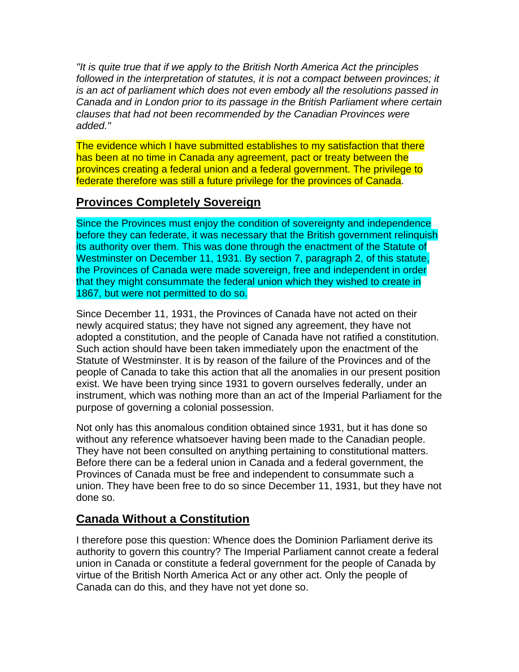*"It is quite true that if we apply to the British North America Act the principles followed in the interpretation of statutes, it is not a compact between provinces; it is an act of parliament which does not even embody all the resolutions passed in Canada and in London prior to its passage in the British Parliament where certain clauses that had not been recommended by the Canadian Provinces were added."*

The evidence which I have submitted establishes to my satisfaction that there has been at no time in Canada any agreement, pact or treaty between the provinces creating a federal union and a federal government. The privilege to federate therefore was still a future privilege for the provinces of Canada.

### **Provinces Completely Sovereign**

Since the Provinces must enjoy the condition of sovereignty and independence before they can federate, it was necessary that the British government relinquish its authority over them. This was done through the enactment of the Statute of Westminster on December 11, 1931. By section 7, paragraph 2, of this statute, the Provinces of Canada were made sovereign, free and independent in order that they might consummate the federal union which they wished to create in 1867, but were not permitted to do so.

Since December 11, 1931, the Provinces of Canada have not acted on their newly acquired status; they have not signed any agreement, they have not adopted a constitution, and the people of Canada have not ratified a constitution. Such action should have been taken immediately upon the enactment of the Statute of Westminster. It is by reason of the failure of the Provinces and of the people of Canada to take this action that all the anomalies in our present position exist. We have been trying since 1931 to govern ourselves federally, under an instrument, which was nothing more than an act of the Imperial Parliament for the purpose of governing a colonial possession.

Not only has this anomalous condition obtained since 1931, but it has done so without any reference whatsoever having been made to the Canadian people. They have not been consulted on anything pertaining to constitutional matters. Before there can be a federal union in Canada and a federal government, the Provinces of Canada must be free and independent to consummate such a union. They have been free to do so since December 11, 1931, but they have not done so.

## **Canada Without a Constitution**

I therefore pose this question: Whence does the Dominion Parliament derive its authority to govern this country? The Imperial Parliament cannot create a federal union in Canada or constitute a federal government for the people of Canada by virtue of the British North America Act or any other act. Only the people of Canada can do this, and they have not yet done so.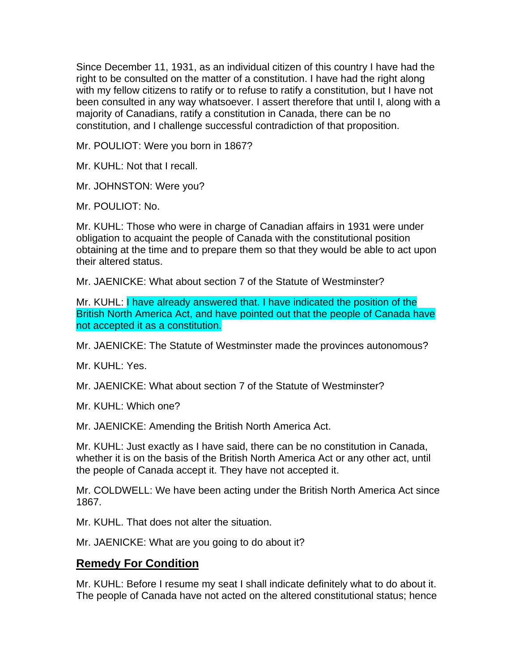Since December 11, 1931, as an individual citizen of this country I have had the right to be consulted on the matter of a constitution. I have had the right along with my fellow citizens to ratify or to refuse to ratify a constitution, but I have not been consulted in any way whatsoever. I assert therefore that until I, along with a majority of Canadians, ratify a constitution in Canada, there can be no constitution, and I challenge successful contradiction of that proposition.

Mr. POULIOT: Were you born in 1867?

Mr. KUHI: Not that I recall.

Mr. JOHNSTON: Were you?

Mr. POULIOT: No.

Mr. KUHL: Those who were in charge of Canadian affairs in 1931 were under obligation to acquaint the people of Canada with the constitutional position obtaining at the time and to prepare them so that they would be able to act upon their altered status.

Mr. JAENICKE: What about section 7 of the Statute of Westminster?

Mr. KUHL: I have already answered that. I have indicated the position of the British North America Act, and have pointed out that the people of Canada have not accepted it as a constitution.

Mr. JAENICKE: The Statute of Westminster made the provinces autonomous?

Mr. KUHL: Yes.

Mr. JAENICKE: What about section 7 of the Statute of Westminster?

Mr. KUHL: Which one?

Mr. JAENICKE: Amending the British North America Act.

Mr. KUHL: Just exactly as I have said, there can be no constitution in Canada, whether it is on the basis of the British North America Act or any other act, until the people of Canada accept it. They have not accepted it.

Mr. COLDWELL: We have been acting under the British North America Act since 1867.

Mr. KUHL. That does not alter the situation.

Mr. JAENICKE: What are you going to do about it?

### **Remedy For Condition**

Mr. KUHL: Before I resume my seat I shall indicate definitely what to do about it. The people of Canada have not acted on the altered constitutional status; hence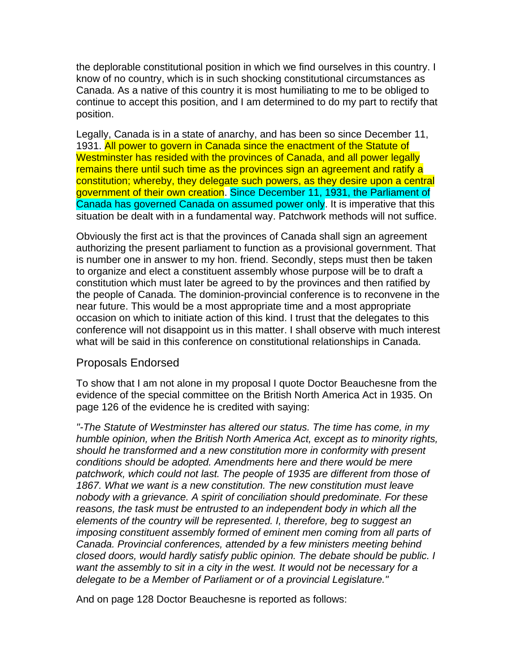the deplorable constitutional position in which we find ourselves in this country. I know of no country, which is in such shocking constitutional circumstances as Canada. As a native of this country it is most humiliating to me to be obliged to continue to accept this position, and I am determined to do my part to rectify that position.

Legally, Canada is in a state of anarchy, and has been so since December 11, 1931. All power to govern in Canada since the enactment of the Statute of Westminster has resided with the provinces of Canada, and all power legally remains there until such time as the provinces sign an agreement and ratify a constitution; whereby, they delegate such powers, as they desire upon a central government of their own creation. Since December 11, 1931, the Parliament of Canada has governed Canada on assumed power only. It is imperative that this situation be dealt with in a fundamental way. Patchwork methods will not suffice.

Obviously the first act is that the provinces of Canada shall sign an agreement authorizing the present parliament to function as a provisional government. That is number one in answer to my hon. friend. Secondly, steps must then be taken to organize and elect a constituent assembly whose purpose will be to draft a constitution which must later be agreed to by the provinces and then ratified by the people of Canada. The dominion-provincial conference is to reconvene in the near future. This would be a most appropriate time and a most appropriate occasion on which to initiate action of this kind. I trust that the delegates to this conference will not disappoint us in this matter. I shall observe with much interest what will be said in this conference on constitutional relationships in Canada.

### Proposals Endorsed

To show that I am not alone in my proposal I quote Doctor Beauchesne from the evidence of the special committee on the British North America Act in 1935. On page 126 of the evidence he is credited with saying:

*"-The Statute of Westminster has altered our status. The time has come, in my humble opinion, when the British North America Act, except as to minority rights, should he transformed and a new constitution more in conformity with present conditions should be adopted. Amendments here and there would be mere patchwork, which could not last. The people of 1935 are different from those of 1867. What we want is a new constitution. The new constitution must leave nobody with a grievance. A spirit of conciliation should predominate. For these reasons, the task must be entrusted to an independent body in which all the elements of the country will be represented. I, therefore, beg to suggest an imposing constituent assembly formed of eminent men coming from all parts of Canada. Provincial conferences, attended by a few ministers meeting behind closed doors, would hardly satisfy public opinion. The debate should be public. I want the assembly to sit in a city in the west. It would not be necessary for a delegate to be a Member of Parliament or of a provincial Legislature."*

And on page 128 Doctor Beauchesne is reported as follows: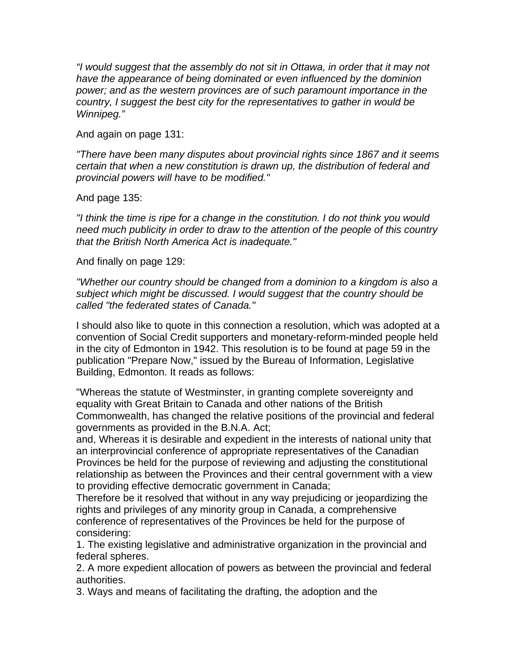*"I would suggest that the assembly do not sit in Ottawa, in order that it may not have the appearance of being dominated or even influenced by the dominion power; and as the western provinces are of such paramount importance in the country, I suggest the best city for the representatives to gather in would be Winnipeg."*

And again on page 131:

*"There have been many disputes about provincial rights since 1867 and it seems certain that when a new constitution is drawn up, the distribution of federal and provincial powers will have to be modified."*

And page 135:

*"I think the time is ripe for a change in the constitution. I do not think you would need much publicity in order to draw to the attention of the people of this country that the British North America Act is inadequate."*

And finally on page 129:

*"Whether our country should be changed from a dominion to a kingdom is also a subject which might be discussed. I would suggest that the country should be called "the federated states of Canada."*

I should also like to quote in this connection a resolution, which was adopted at a convention of Social Credit supporters and monetary-reform-minded people held in the city of Edmonton in 1942. This resolution is to be found at page 59 in the publication "Prepare Now," issued by the Bureau of Information, Legislative Building, Edmonton. It reads as follows:

"Whereas the statute of Westminster, in granting complete sovereignty and equality with Great Britain to Canada and other nations of the British Commonwealth, has changed the relative positions of the provincial and federal governments as provided in the B.N.A. Act;

and, Whereas it is desirable and expedient in the interests of national unity that an interprovincial conference of appropriate representatives of the Canadian Provinces be held for the purpose of reviewing and adjusting the constitutional relationship as between the Provinces and their central government with a view to providing effective democratic government in Canada;

Therefore be it resolved that without in any way prejudicing or jeopardizing the rights and privileges of any minority group in Canada, a comprehensive conference of representatives of the Provinces be held for the purpose of considering:

1. The existing legislative and administrative organization in the provincial and federal spheres.

2. A more expedient allocation of powers as between the provincial and federal authorities.

3. Ways and means of facilitating the drafting, the adoption and the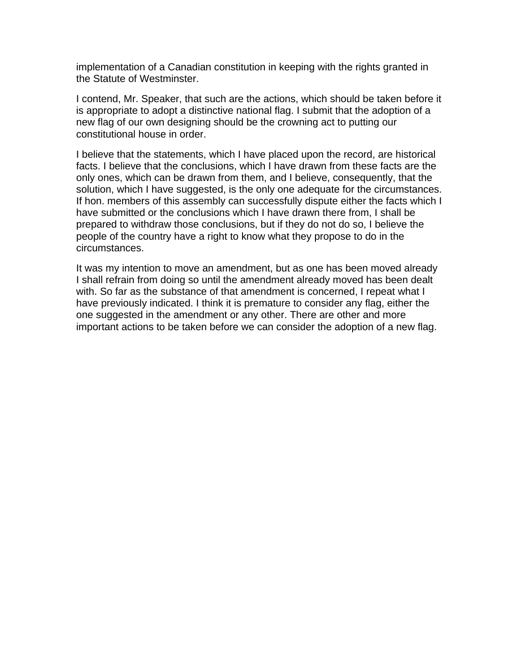implementation of a Canadian constitution in keeping with the rights granted in the Statute of Westminster.

I contend, Mr. Speaker, that such are the actions, which should be taken before it is appropriate to adopt a distinctive national flag. I submit that the adoption of a new flag of our own designing should be the crowning act to putting our constitutional house in order.

I believe that the statements, which I have placed upon the record, are historical facts. I believe that the conclusions, which I have drawn from these facts are the only ones, which can be drawn from them, and I believe, consequently, that the solution, which I have suggested, is the only one adequate for the circumstances. If hon. members of this assembly can successfully dispute either the facts which I have submitted or the conclusions which I have drawn there from, I shall be prepared to withdraw those conclusions, but if they do not do so, I believe the people of the country have a right to know what they propose to do in the circumstances.

It was my intention to move an amendment, but as one has been moved already I shall refrain from doing so until the amendment already moved has been dealt with. So far as the substance of that amendment is concerned, I repeat what I have previously indicated. I think it is premature to consider any flag, either the one suggested in the amendment or any other. There are other and more important actions to be taken before we can consider the adoption of a new flag.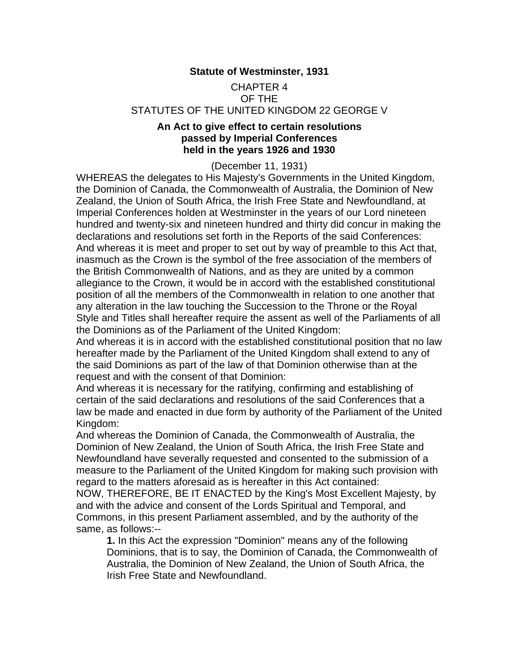#### **Statute of Westminster, 1931**

### CHAPTER 4 OF THE STATUTES OF THE UNITED KINGDOM 22 GEORGE V

### **An Act to give effect to certain resolutions passed by Imperial Conferences held in the years 1926 and 1930**

(December 11, 1931)

WHEREAS the delegates to His Majesty's Governments in the United Kingdom, the Dominion of Canada, the Commonwealth of Australia, the Dominion of New Zealand, the Union of South Africa, the Irish Free State and Newfoundland, at Imperial Conferences holden at Westminster in the years of our Lord nineteen hundred and twenty-six and nineteen hundred and thirty did concur in making the declarations and resolutions set forth in the Reports of the said Conferences: And whereas it is meet and proper to set out by way of preamble to this Act that, inasmuch as the Crown is the symbol of the free association of the members of the British Commonwealth of Nations, and as they are united by a common allegiance to the Crown, it would be in accord with the established constitutional position of all the members of the Commonwealth in relation to one another that any alteration in the law touching the Succession to the Throne or the Royal Style and Titles shall hereafter require the assent as well of the Parliaments of all the Dominions as of the Parliament of the United Kingdom:

And whereas it is in accord with the established constitutional position that no law hereafter made by the Parliament of the United Kingdom shall extend to any of the said Dominions as part of the law of that Dominion otherwise than at the request and with the consent of that Dominion:

And whereas it is necessary for the ratifying, confirming and establishing of certain of the said declarations and resolutions of the said Conferences that a law be made and enacted in due form by authority of the Parliament of the United Kingdom:

And whereas the Dominion of Canada, the Commonwealth of Australia, the Dominion of New Zealand, the Union of South Africa, the Irish Free State and Newfoundland have severally requested and consented to the submission of a measure to the Parliament of the United Kingdom for making such provision with regard to the matters aforesaid as is hereafter in this Act contained:

NOW, THEREFORE, BE IT ENACTED by the King's Most Excellent Majesty, by and with the advice and consent of the Lords Spiritual and Temporal, and Commons, in this present Parliament assembled, and by the authority of the same, as follows:--

**1.** In this Act the expression "Dominion" means any of the following Dominions, that is to say, the Dominion of Canada, the Commonwealth of Australia, the Dominion of New Zealand, the Union of South Africa, the Irish Free State and Newfoundland.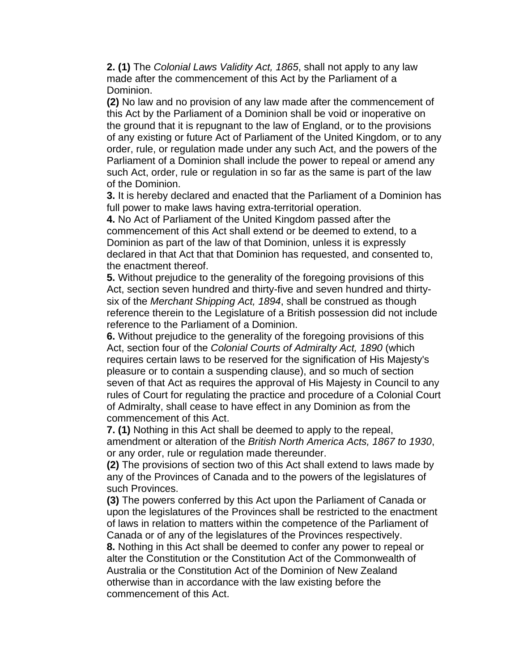**2. (1)** The *Colonial Laws Validity Act, 1865*, shall not apply to any law made after the commencement of this Act by the Parliament of a Dominion.

**(2)** No law and no provision of any law made after the commencement of this Act by the Parliament of a Dominion shall be void or inoperative on the ground that it is repugnant to the law of England, or to the provisions of any existing or future Act of Parliament of the United Kingdom, or to any order, rule, or regulation made under any such Act, and the powers of the Parliament of a Dominion shall include the power to repeal or amend any such Act, order, rule or regulation in so far as the same is part of the law of the Dominion.

**3.** It is hereby declared and enacted that the Parliament of a Dominion has full power to make laws having extra-territorial operation.

**4.** No Act of Parliament of the United Kingdom passed after the commencement of this Act shall extend or be deemed to extend, to a Dominion as part of the law of that Dominion, unless it is expressly declared in that Act that that Dominion has requested, and consented to, the enactment thereof.

**5.** Without prejudice to the generality of the foregoing provisions of this Act, section seven hundred and thirty-five and seven hundred and thirtysix of the *Merchant Shipping Act, 1894*, shall be construed as though reference therein to the Legislature of a British possession did not include reference to the Parliament of a Dominion.

**6.** Without prejudice to the generality of the foregoing provisions of this Act, section four of the *Colonial Courts of Admiralty Act, 1890* (which requires certain laws to be reserved for the signification of His Majesty's pleasure or to contain a suspending clause), and so much of section seven of that Act as requires the approval of His Majesty in Council to any rules of Court for regulating the practice and procedure of a Colonial Court of Admiralty, shall cease to have effect in any Dominion as from the commencement of this Act.

**7. (1)** Nothing in this Act shall be deemed to apply to the repeal, amendment or alteration of the *British North America Acts, 1867 to 1930*, or any order, rule or regulation made thereunder.

**(2)** The provisions of section two of this Act shall extend to laws made by any of the Provinces of Canada and to the powers of the legislatures of such Provinces.

**(3)** The powers conferred by this Act upon the Parliament of Canada or upon the legislatures of the Provinces shall be restricted to the enactment of laws in relation to matters within the competence of the Parliament of Canada or of any of the legislatures of the Provinces respectively.

**8.** Nothing in this Act shall be deemed to confer any power to repeal or alter the Constitution or the Constitution Act of the Commonwealth of Australia or the Constitution Act of the Dominion of New Zealand otherwise than in accordance with the law existing before the commencement of this Act.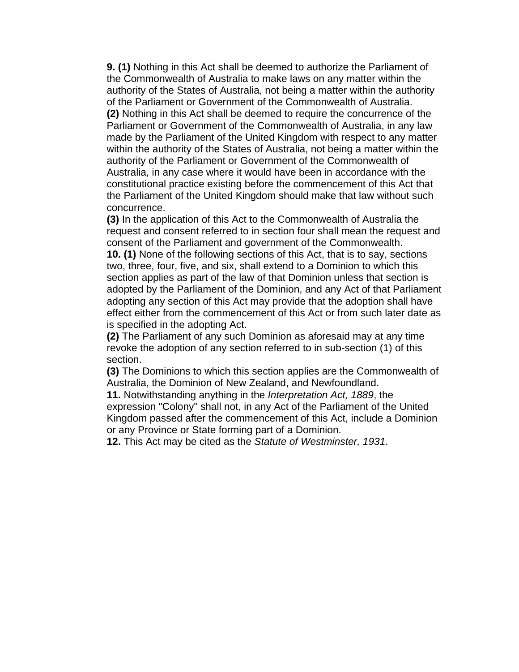**9. (1)** Nothing in this Act shall be deemed to authorize the Parliament of the Commonwealth of Australia to make laws on any matter within the authority of the States of Australia, not being a matter within the authority of the Parliament or Government of the Commonwealth of Australia. **(2)** Nothing in this Act shall be deemed to require the concurrence of the Parliament or Government of the Commonwealth of Australia, in any law made by the Parliament of the United Kingdom with respect to any matter within the authority of the States of Australia, not being a matter within the authority of the Parliament or Government of the Commonwealth of Australia, in any case where it would have been in accordance with the constitutional practice existing before the commencement of this Act that the Parliament of the United Kingdom should make that law without such concurrence.

**(3)** In the application of this Act to the Commonwealth of Australia the request and consent referred to in section four shall mean the request and consent of the Parliament and government of the Commonwealth. **10. (1)** None of the following sections of this Act, that is to say, sections two, three, four, five, and six, shall extend to a Dominion to which this section applies as part of the law of that Dominion unless that section is adopted by the Parliament of the Dominion, and any Act of that Parliament adopting any section of this Act may provide that the adoption shall have effect either from the commencement of this Act or from such later date as is specified in the adopting Act.

**(2)** The Parliament of any such Dominion as aforesaid may at any time revoke the adoption of any section referred to in sub-section (1) of this section.

**(3)** The Dominions to which this section applies are the Commonwealth of Australia, the Dominion of New Zealand, and Newfoundland.

**11.** Notwithstanding anything in the *Interpretation Act, 1889*, the expression "Colony" shall not, in any Act of the Parliament of the United Kingdom passed after the commencement of this Act, include a Dominion or any Province or State forming part of a Dominion.

**12.** This Act may be cited as the *Statute of Westminster, 1931*.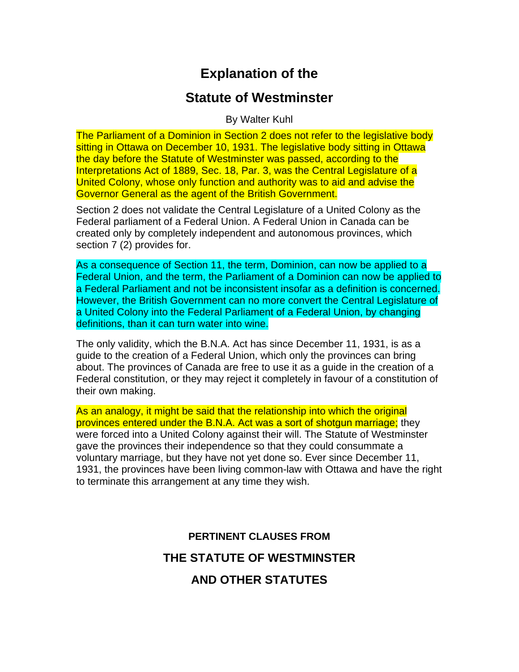# **Explanation of the**

# **Statute of Westminster**

By Walter Kuhl

The Parliament of a Dominion in Section 2 does not refer to the legislative body sitting in Ottawa on December 10, 1931. The legislative body sitting in Ottawa the day before the Statute of Westminster was passed, according to the Interpretations Act of 1889, Sec. 18, Par. 3, was the Central Legislature of a United Colony, whose only function and authority was to aid and advise the Governor General as the agent of the British Government.

Section 2 does not validate the Central Legislature of a United Colony as the Federal parliament of a Federal Union. A Federal Union in Canada can be created only by completely independent and autonomous provinces, which section 7 (2) provides for.

As a consequence of Section 11, the term, Dominion, can now be applied to a Federal Union, and the term, the Parliament of a Dominion can now be applied to a Federal Parliament and not be inconsistent insofar as a definition is concerned. However, the British Government can no more convert the Central Legislature of a United Colony into the Federal Parliament of a Federal Union, by changing definitions, than it can turn water into wine.

The only validity, which the B.N.A. Act has since December 11, 1931, is as a guide to the creation of a Federal Union, which only the provinces can bring about. The provinces of Canada are free to use it as a guide in the creation of a Federal constitution, or they may reject it completely in favour of a constitution of their own making.

As an analogy, it might be said that the relationship into which the original provinces entered under the B.N.A. Act was a sort of shotgun marriage; they were forced into a United Colony against their will. The Statute of Westminster gave the provinces their independence so that they could consummate a voluntary marriage, but they have not yet done so. Ever since December 11, 1931, the provinces have been living common-law with Ottawa and have the right to terminate this arrangement at any time they wish.

> **PERTINENT CLAUSES FROM THE STATUTE OF WESTMINSTER AND OTHER STATUTES**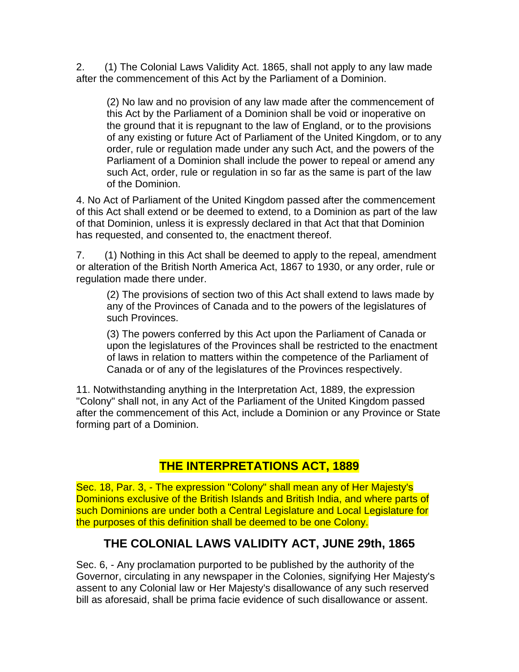2. (1) The Colonial Laws Validity Act. 1865, shall not apply to any law made after the commencement of this Act by the Parliament of a Dominion.

(2) No law and no provision of any law made after the commencement of this Act by the Parliament of a Dominion shall be void or inoperative on the ground that it is repugnant to the law of England, or to the provisions of any existing or future Act of Parliament of the United Kingdom, or to any order, rule or regulation made under any such Act, and the powers of the Parliament of a Dominion shall include the power to repeal or amend any such Act, order, rule or regulation in so far as the same is part of the law of the Dominion.

4. No Act of Parliament of the United Kingdom passed after the commencement of this Act shall extend or be deemed to extend, to a Dominion as part of the law of that Dominion, unless it is expressly declared in that Act that that Dominion has requested, and consented to, the enactment thereof.

7. (1) Nothing in this Act shall be deemed to apply to the repeal, amendment or alteration of the British North America Act, 1867 to 1930, or any order, rule or regulation made there under.

(2) The provisions of section two of this Act shall extend to laws made by any of the Provinces of Canada and to the powers of the legislatures of such Provinces.

(3) The powers conferred by this Act upon the Parliament of Canada or upon the legislatures of the Provinces shall be restricted to the enactment of laws in relation to matters within the competence of the Parliament of Canada or of any of the legislatures of the Provinces respectively.

11. Notwithstanding anything in the Interpretation Act, 1889, the expression "Colony" shall not, in any Act of the Parliament of the United Kingdom passed after the commencement of this Act, include a Dominion or any Province or State forming part of a Dominion.

# **THE INTERPRETATIONS ACT, 1889**

Sec. 18, Par. 3, - The expression "Colony" shall mean any of Her Majesty's Dominions exclusive of the British Islands and British India, and where parts of such Dominions are under both a Central Legislature and Local Legislature for the purposes of this definition shall be deemed to be one Colony.

# **THE COLONIAL LAWS VALIDITY ACT, JUNE 29th, 1865**

Sec. 6, - Any proclamation purported to be published by the authority of the Governor, circulating in any newspaper in the Colonies, signifying Her Majesty's assent to any Colonial law or Her Majesty's disallowance of any such reserved bill as aforesaid, shall be prima facie evidence of such disallowance or assent.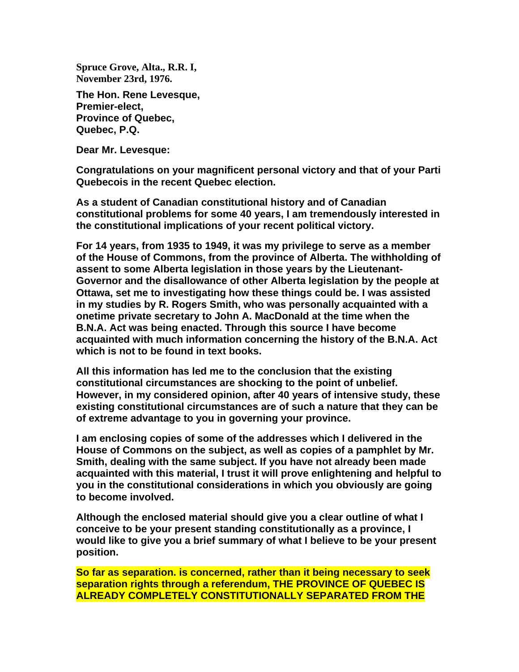**Spruce Grove, Alta., R.R. I, November 23rd, 1976.**

**The Hon. Rene Levesque, Premier-elect, Province of Quebec, Quebec, P.Q.**

**Dear Mr. Levesque:**

**Congratulations on your magnificent personal victory and that of your Parti Quebecois in the recent Quebec election.**

**As a student of Canadian constitutional history and of Canadian constitutional problems for some 40 years, I am tremendously interested in the constitutional implications of your recent political victory.**

**For 14 years, from 1935 to 1949, it was my privilege to serve as a member of the House of Commons, from the province of Alberta. The withholding of assent to some Alberta legislation in those years by the Lieutenant-Governor and the disallowance of other Alberta legislation by the people at Ottawa, set me to investigating how these things could be. I was assisted in my studies by R. Rogers Smith, who was personally acquainted with a onetime private secretary to John A. MacDonaId at the time when the B.N.A. Act was being enacted. Through this source I have become acquainted with much information concerning the history of the B.N.A. Act which is not to be found in text books.**

**All this information has led me to the conclusion that the existing constitutional circumstances are shocking to the point of unbelief. However, in my considered opinion, after 40 years of intensive study, these existing constitutional circumstances are of such a nature that they can be of extreme advantage to you in governing your province.**

**I am enclosing copies of some of the addresses which I delivered in the House of Commons on the subject, as well as copies of a pamphlet by Mr. Smith, dealing with the same subject. If you have not already been made acquainted with this material, I trust it will prove enlightening and helpful to you in the constitutional considerations in which you obviously are going to become involved.**

**Although the enclosed material should give you a clear outline of what I conceive to be your present standing constitutionally as a province, I would like to give you a brief summary of what I believe to be your present position.**

**So far as separation. is concerned, rather than it being necessary to seek separation rights through a referendum, THE PROVINCE OF QUEBEC IS ALREADY COMPLETELY CONSTITUTIONALLY SEPARATED FROM THE**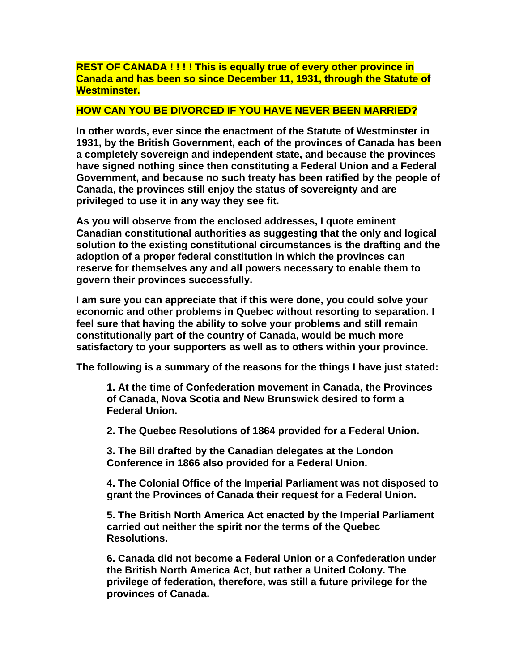**REST OF CANADA ! ! ! ! This is equally true of every other province in Canada and has been so since December 11, 1931, through the Statute of Westminster.**

#### **HOW CAN YOU BE DIVORCED IF YOU HAVE NEVER BEEN MARRIED?**

**In other words, ever since the enactment of the Statute of Westminster in 1931, by the British Government, each of the provinces of Canada has been a completely sovereign and independent state, and because the provinces have signed nothing since then constituting a Federal Union and a Federal Government, and because no such treaty has been ratified by the people of Canada, the provinces still enjoy the status of sovereignty and are privileged to use it in any way they see fit.**

**As you will observe from the enclosed addresses, I quote eminent Canadian constitutional authorities as suggesting that the only and logical solution to the existing constitutional circumstances is the drafting and the adoption of a proper federal constitution in which the provinces can reserve for themselves any and all powers necessary to enable them to govern their provinces successfully.**

**I am sure you can appreciate that if this were done, you could solve your economic and other problems in Quebec without resorting to separation. I feel sure that having the ability to solve your problems and still remain constitutionally part of the country of Canada, would be much more satisfactory to your supporters as well as to others within your province.**

**The following is a summary of the reasons for the things I have just stated:**

**1. At the time of Confederation movement in Canada, the Provinces of Canada, Nova Scotia and New Brunswick desired to form a Federal Union.**

**2. The Quebec Resolutions of 1864 provided for a Federal Union.**

**3. The Bill drafted by the Canadian delegates at the London Conference in 1866 also provided for a Federal Union.**

**4. The Colonial Office of the Imperial Parliament was not disposed to grant the Provinces of Canada their request for a Federal Union.**

**5. The British North America Act enacted by the Imperial Parliament carried out neither the spirit nor the terms of the Quebec Resolutions.**

**6. Canada did not become a Federal Union or a Confederation under the British North America Act, but rather a United Colony. The privilege of federation, therefore, was still a future privilege for the provinces of Canada.**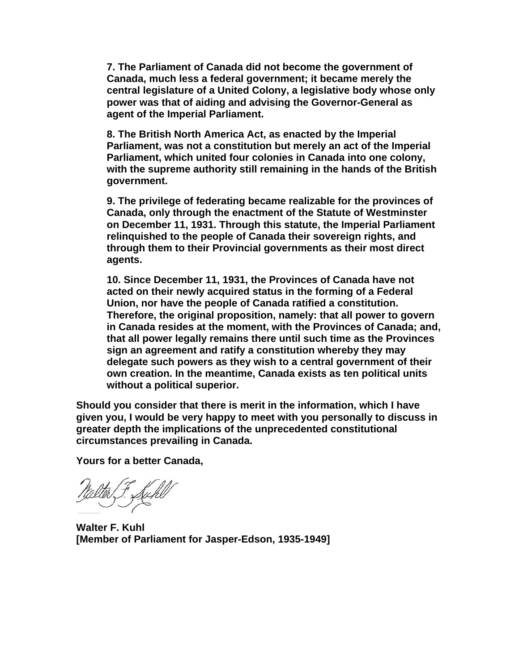**7. The Parliament of Canada did not become the government of Canada, much less a federal government; it became merely the central legislature of a United Colony, a legislative body whose only power was that of aiding and advising the Governor-General as agent of the Imperial Parliament.**

**8. The British North America Act, as enacted by the Imperial Parliament, was not a constitution but merely an act of the Imperial Parliament, which united four colonies in Canada into one colony, with the supreme authority still remaining in the hands of the British government.**

**9. The privilege of federating became realizable for the provinces of Canada, only through the enactment of the Statute of Westminster on December 11, 1931. Through this statute, the Imperial Parliament relinquished to the people of Canada their sovereign rights, and through them to their Provincial governments as their most direct agents.**

**10. Since December 11, 1931, the Provinces of Canada have not acted on their newly acquired status in the forming of a Federal Union, nor have the people of Canada ratified a constitution. Therefore, the original proposition, namely: that all power to govern in Canada resides at the moment, with the Provinces of Canada; and, that all power legally remains there until such time as the Provinces sign an agreement and ratify a constitution whereby they may delegate such powers as they wish to a central government of their own creation. In the meantime, Canada exists as ten political units without a political superior.**

**Should you consider that there is merit in the information, which I have given you, I would be very happy to meet with you personally to discuss in greater depth the implications of the unprecedented constitutional circumstances prevailing in Canada.**

**Yours for a better Canada,**

**Walter F. Kuhl [Member of Parliament for Jasper-Edson, 1935-1949]**